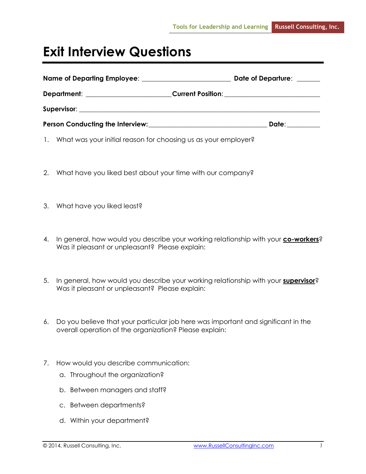## **Exit Interview Questions**

|                                                                        | Date of Departure:                                                                                                                                                                                                             |
|------------------------------------------------------------------------|--------------------------------------------------------------------------------------------------------------------------------------------------------------------------------------------------------------------------------|
|                                                                        | Current Position: ______________________________                                                                                                                                                                               |
|                                                                        |                                                                                                                                                                                                                                |
| Person Conducting the Interview: Network and Conducting the Interview: | Date: the contract of the contract of the contract of the contract of the contract of the contract of the contract of the contract of the contract of the contract of the contract of the contract of the contract of the cont |

- 1. What was your initial reason for choosing us as your employer?
- 2. What have you liked best about your time with our company?
- 3. What have you liked least?
- 4. In general, how would you describe your working relationship with your **co-workers**? Was it pleasant or unpleasant? Please explain:
- 5. In general, how would you describe your working relationship with your **supervisor**? Was it pleasant or unpleasant? Please explain:
- 6. Do you believe that your particular job here was important and significant in the overall operation of the organization? Please explain:
- 7. How would you describe communication:
	- a. Throughout the organization?
	- b. Between managers and staff?
	- c. Between departments?
	- d. Within your department?